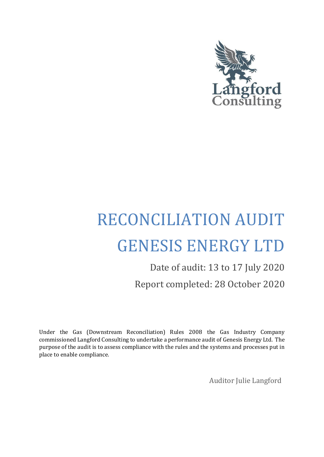

# RECONCILIATION AUDIT GENESIS ENERGY LTD

Date of audit: 13 to 17 July 2020 Report completed: 28 October 2020

Under the Gas (Downstream Reconciliation) Rules 2008 the Gas Industry Company commissioned Langford Consulting to undertake a performance audit of Genesis Energy Ltd. The purpose of the audit is to assess compliance with the rules and the systems and processes put in place to enable compliance.

Auditor Julie Langford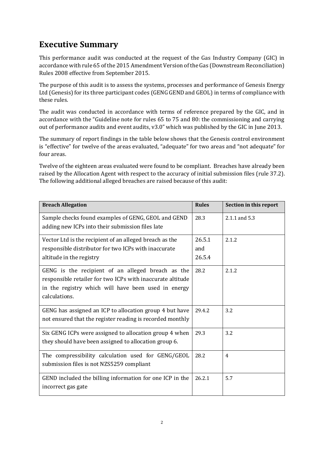## <span id="page-1-0"></span>**Executive Summary**

This performance audit was conducted at the request of the Gas Industry Company (GIC) in accordance with rule 65 of the 2015 Amendment Version of the Gas (Downstream Reconciliation) Rules 2008 effective from September 2015.

The purpose of this audit is to assess the systems, processes and performance of Genesis Energy Ltd (Genesis) for its three participant codes (GENG GEND and GEOL) in terms of compliance with these rules.

The audit was conducted in accordance with terms of reference prepared by the GIC, and in accordance with the "Guideline note for rules 65 to 75 and 80: the commissioning and carrying out of performance audits and event audits, v3.0" which was published by the GIC in June 2013.

The summary of report findings in the table below shows that the Genesis control environment is "effective" for twelve of the areas evaluated, "adequate" for two areas and "not adequate" for four areas.

Twelve of the eighteen areas evaluated were found to be compliant. Breaches have already been raised by the Allocation Agent with respect to the accuracy of initial submission files (rule 37.2). The following additional alleged breaches are raised because of this audit:

| <b>Breach Allegation</b>                                                                                                                                                                | <b>Rules</b>            | Section in this report |
|-----------------------------------------------------------------------------------------------------------------------------------------------------------------------------------------|-------------------------|------------------------|
| Sample checks found examples of GENG, GEOL and GEND<br>adding new ICPs into their submission files late                                                                                 | 28.3                    | 2.1.1 and 5.3          |
| Vector Ltd is the recipient of an alleged breach as the<br>responsible distributor for two ICPs with inaccurate<br>altitude in the registry                                             | 26.5.1<br>and<br>26.5.4 | 2.1.2                  |
| GENG is the recipient of an alleged breach as the<br>responsible retailer for two ICPs with inaccurate altitude<br>in the registry which will have been used in energy<br>calculations. | 28.2                    | 2.1.2                  |
| GENG has assigned an ICP to allocation group 4 but have<br>not ensured that the register reading is recorded monthly                                                                    | 29.4.2                  | 3.2                    |
| Six GENG ICPs were assigned to allocation group 4 when<br>they should have been assigned to allocation group 6.                                                                         | 29.3                    | 3.2                    |
| The compressibility calculation used for GENG/GEOL<br>submission files is not NZS5259 compliant                                                                                         | 28.2                    | $\overline{4}$         |
| GEND included the billing information for one ICP in the<br>incorrect gas gate                                                                                                          | 26.2.1                  | 5.7                    |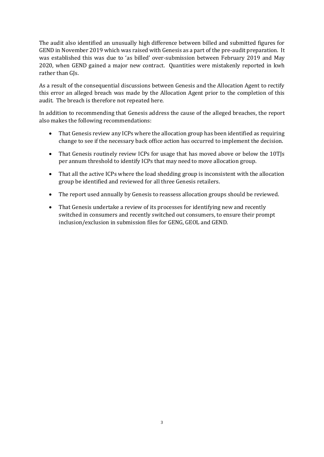The audit also identified an unusually high difference between billed and submitted figures for GEND in November 2019 which was raised with Genesis as a part of the pre-audit preparation. It was established this was due to 'as billed' over-submission between February 2019 and May 2020, when GEND gained a major new contract. Quantities were mistakenly reported in kwh rather than GIs.

As a result of the consequential discussions between Genesis and the Allocation Agent to rectify this error an alleged breach was made by the Allocation Agent prior to the completion of this audit. The breach is therefore not repeated here.

In addition to recommending that Genesis address the cause of the alleged breaches, the report also makes the following recommendations:

- That Genesis review any ICPs where the allocation group has been identified as requiring change to see if the necessary back office action has occurred to implement the decision.
- That Genesis routinely review ICPs for usage that has moved above or below the 10TJs per annum threshold to identify ICPs that may need to move allocation group.
- That all the active ICPs where the load shedding group is inconsistent with the allocation group be identified and reviewed for all three Genesis retailers.
- The report used annually by Genesis to reassess allocation groups should be reviewed.
- That Genesis undertake a review of its processes for identifying new and recently switched in consumers and recently switched out consumers, to ensure their prompt inclusion/exclusion in submission files for GENG, GEOL and GEND.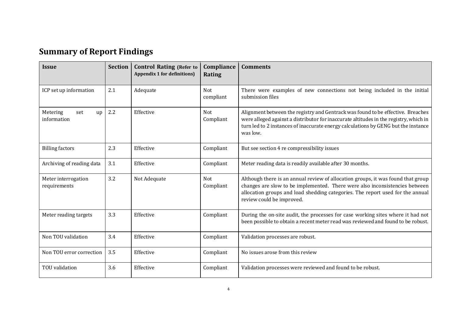## **Summary of Report Findings**

<span id="page-3-0"></span>

| <b>Issue</b>                         | <b>Section</b> | <b>Control Rating (Refer to</b><br><b>Appendix 1 for definitions)</b> | Compliance<br>Rating | <b>Comments</b>                                                                                                                                                                                                                                                                |
|--------------------------------------|----------------|-----------------------------------------------------------------------|----------------------|--------------------------------------------------------------------------------------------------------------------------------------------------------------------------------------------------------------------------------------------------------------------------------|
| ICP set up information               | 2.1            | Adequate                                                              | Not.<br>compliant    | There were examples of new connections not being included in the initial<br>submission files                                                                                                                                                                                   |
| Metering<br>set<br>up<br>information | 2.2            | Effective                                                             | Not.<br>Compliant    | Alignment between the registry and Gentrack was found to be effective. Breaches<br>were alleged against a distributor for inaccurate altitudes in the registry, which in<br>turn led to 2 instances of inaccurate energy calculations by GENG but the instance<br>was low.     |
| <b>Billing factors</b>               | 2.3            | Effective                                                             | Compliant            | But see section 4 re compressibility issues                                                                                                                                                                                                                                    |
| Archiving of reading data            | 3.1            | Effective                                                             | Compliant            | Meter reading data is readily available after 30 months.                                                                                                                                                                                                                       |
| Meter interrogation<br>requirements  | 3.2            | Not Adequate                                                          | Not<br>Compliant     | Although there is an annual review of allocation groups, it was found that group<br>changes are slow to be implemented. There were also inconsistencies between<br>allocation groups and load shedding categories. The report used for the annual<br>review could be improved. |
| Meter reading targets                | 3.3            | Effective                                                             | Compliant            | During the on-site audit, the processes for case working sites where it had not<br>been possible to obtain a recent meter read was reviewed and found to be robust.                                                                                                            |
| Non TOU validation                   | 3.4            | Effective                                                             | Compliant            | Validation processes are robust.                                                                                                                                                                                                                                               |
| Non TOU error correction             | 3.5            | Effective                                                             | Compliant            | No issues arose from this review                                                                                                                                                                                                                                               |
| TOU validation                       | 3.6            | Effective                                                             | Compliant            | Validation processes were reviewed and found to be robust.                                                                                                                                                                                                                     |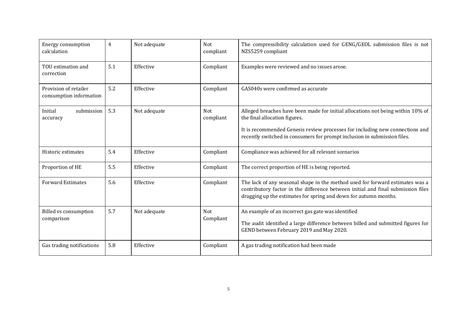| <b>Energy consumption</b><br>calculation         | $\overline{4}$ | Not adequate | Not.<br>compliant | The compressibility calculation used for GENG/GEOL submission files is not<br>NZS5259 compliant                                                                                                                                       |
|--------------------------------------------------|----------------|--------------|-------------------|---------------------------------------------------------------------------------------------------------------------------------------------------------------------------------------------------------------------------------------|
| TOU estimation and<br>correction                 | 5.1            | Effective    | Compliant         | Examples were reviewed and no issues arose.                                                                                                                                                                                           |
| Provision of retailer<br>consumption information | 5.2            | Effective    | Compliant         | GAS040s were confirmed as accurate                                                                                                                                                                                                    |
| Initial<br>submission<br>accuracy                | 5.3            | Not adequate | Not.<br>compliant | Alleged breaches have been made for initial allocations not being within 10% of<br>the final allocation figures.                                                                                                                      |
|                                                  |                |              |                   | It is recommended Genesis review processes for including new connections and<br>recently switched in consumers for prompt inclusion in submission files.                                                                              |
| Historic estimates                               | 5.4            | Effective    | Compliant         | Compliance was achieved for all relevant scenarios                                                                                                                                                                                    |
| Proportion of HE                                 | 5.5            | Effective    | Compliant         | The correct proportion of HE is being reported.                                                                                                                                                                                       |
| <b>Forward Estimates</b>                         | 5.6            | Effective    | Compliant         | The lack of any seasonal shape in the method used for forward estimates was a<br>contributory factor in the difference between initial and final submission files<br>dragging up the estimates for spring and down for autumn months. |
| <b>Billed vs consumption</b><br>comparison       | 5.7            | Not adequate | Not.<br>Compliant | An example of an incorrect gas gate was identified<br>The audit identified a large difference between billed and submitted figures for<br>GEND between February 2019 and May 2020.                                                    |
| Gas trading notifications                        | 5.8            | Effective    | Compliant         | A gas trading notification had been made                                                                                                                                                                                              |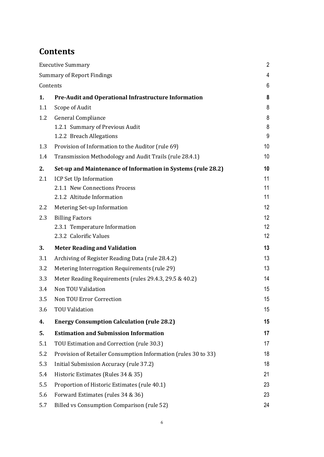## <span id="page-5-0"></span>**Contents**

|          | <b>Executive Summary</b>                                       | $\overline{2}$ |
|----------|----------------------------------------------------------------|----------------|
|          | <b>Summary of Report Findings</b>                              | 4              |
| Contents |                                                                | 6              |
| 1.       | Pre-Audit and Operational Infrastructure Information           | 8              |
| 1.1      | Scope of Audit                                                 | 8              |
| 1.2      | <b>General Compliance</b>                                      | 8              |
|          | 1.2.1 Summary of Previous Audit                                | 8              |
|          | 1.2.2 Breach Allegations                                       | 9              |
| 1.3      | Provision of Information to the Auditor (rule 69)              | 10             |
| 1.4      | Transmission Methodology and Audit Trails (rule 28.4.1)        | 10             |
| 2.       | Set-up and Maintenance of Information in Systems (rule 28.2)   | 10             |
| 2.1      | ICP Set Up Information                                         | 11             |
|          | 2.1.1 New Connections Process                                  | 11             |
|          | 2.1.2 Altitude Information                                     | 11             |
| 2.2      | Metering Set-up Information                                    | 12             |
| 2.3      | <b>Billing Factors</b>                                         | 12             |
|          | 2.3.1 Temperature Information                                  | 12             |
|          | 2.3.2 Calorific Values                                         | 12             |
| 3.       | <b>Meter Reading and Validation</b>                            | 13             |
| 3.1      | Archiving of Register Reading Data (rule 28.4.2)               | 13             |
| 3.2      | Metering Interrogation Requirements (rule 29)                  | 13             |
| 3.3      | Meter Reading Requirements (rules 29.4.3, 29.5 & 40.2)         | 14             |
| 3.4      | Non TOU Validation                                             | 15             |
| 3.5      | Non TOU Error Correction                                       | 15             |
| 3.6      | <b>TOU Validation</b>                                          | 15             |
| 4.       | <b>Energy Consumption Calculation (rule 28.2)</b>              | 15             |
| 5.       | <b>Estimation and Submission Information</b>                   | 17             |
| 5.1      | TOU Estimation and Correction (rule 30.3)                      | 17             |
| 5.2      | Provision of Retailer Consumption Information (rules 30 to 33) | 18             |
| 5.3      | Initial Submission Accuracy (rule 37.2)                        | 18             |
| 5.4      | Historic Estimates (Rules 34 & 35)                             | 21             |
| 5.5      | Proportion of Historic Estimates (rule 40.1)                   | 23             |
| 5.6      | Forward Estimates (rules 34 & 36)                              | 23             |
| 5.7      | Billed vs Consumption Comparison (rule 52)                     | 24             |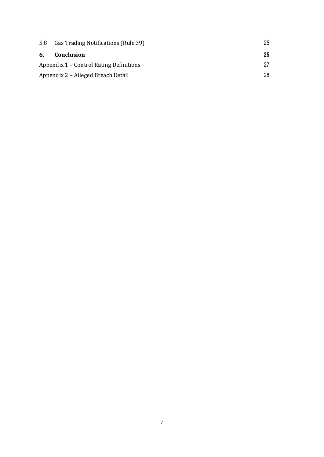| 5.8 | Gas Trading Notifications (Rule 39)     | 25 |
|-----|-----------------------------------------|----|
| 6.  | Conclusion                              | 25 |
|     | Appendix 1 – Control Rating Definitions |    |
|     | Appendix 2 – Alleged Breach Detail      | 28 |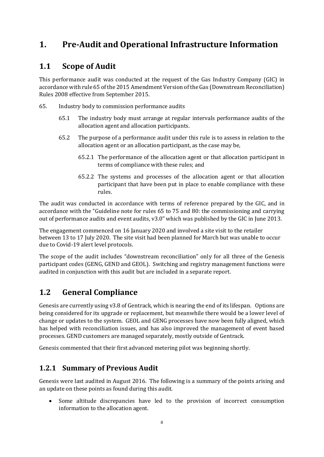### <span id="page-7-0"></span>**1. Pre-Audit and Operational Infrastructure Information**

#### <span id="page-7-1"></span>**1.1 Scope of Audit**

This performance audit was conducted at the request of the Gas Industry Company (GIC) in accordance with rule 65 of the 2015 Amendment Version of the Gas (Downstream Reconciliation) Rules 2008 effective from September 2015.

- 65. Industry body to commission performance audits
	- 65.1 The industry body must arrange at regular intervals performance audits of the allocation agent and allocation participants.
	- 65.2 The purpose of a performance audit under this rule is to assess in relation to the allocation agent or an allocation participant, as the case may be,
		- 65.2.1 The performance of the allocation agent or that allocation participant in terms of compliance with these rules; and
		- 65.2.2 The systems and processes of the allocation agent or that allocation participant that have been put in place to enable compliance with these rules.

The audit was conducted in accordance with terms of reference prepared by the GIC, and in accordance with the "Guideline note for rules 65 to 75 and 80: the commissioning and carrying out of performance audits and event audits, v3.0" which was published by the GIC in June 2013.

The engagement commenced on 16 January 2020 and involved a site visit to the retailer between 13 to 17 July 2020. The site visit had been planned for March but was unable to occur due to Covid-19 alert level protocols.

The scope of the audit includes "downstream reconciliation" only for all three of the Genesis participant codes (GENG, GEND and GEOL). Switching and registry management functions were audited in conjunction with this audit but are included in a separate report.

#### <span id="page-7-2"></span>**1.2 General Compliance**

Genesis are currently using v3.8 of Gentrack, which is nearing the end of its lifespan. Options are being considered for its upgrade or replacement, but meanwhile there would be a lower level of change or updates to the system. GEOL and GENG processes have now been fully aligned, which has helped with reconciliation issues, and has also improved the management of event based processes. GEND customers are managed separately, mostly outside of Gentrack.

Genesis commented that their first advanced metering pilot was beginning shortly.

#### <span id="page-7-3"></span>**1.2.1 Summary of Previous Audit**

Genesis were last audited in August 2016. The following is a summary of the points arising and an update on these points as found during this audit.

• Some altitude discrepancies have led to the provision of incorrect consumption information to the allocation agent.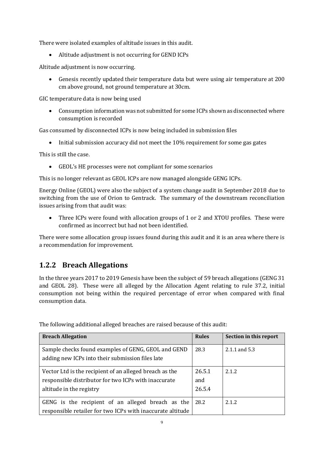There were isolated examples of altitude issues in this audit.

• Altitude adjustment is not occurring for GEND ICPs

Altitude adjustment is now occurring.

• Genesis recently updated their temperature data but were using air temperature at 200 cm above ground, not ground temperature at 30cm.

GIC temperature data is now being used

• Consumption information was not submitted for some ICPs shown as disconnected where consumption is recorded

Gas consumed by disconnected ICPs is now being included in submission files

• Initial submission accuracy did not meet the 10% requirement for some gas gates

This is still the case.

• GEOL's HE processes were not compliant for some scenarios

This is no longer relevant as GEOL ICPs are now managed alongside GENG ICPs.

Energy Online (GEOL) were also the subject of a system change audit in September 2018 due to switching from the use of Orion to Gentrack. The summary of the downstream reconciliation issues arising from that audit was:

• Three ICPs were found with allocation groups of 1 or 2 and XTOU profiles. These were confirmed as incorrect but had not been identified.

There were some allocation group issues found during this audit and it is an area where there is a recommendation for improvement.

#### <span id="page-8-0"></span>**1.2.2 Breach Allegations**

In the three years 2017 to 2019 Genesis have been the subject of 59 breach allegations (GENG 31 and GEOL 28). These were all alleged by the Allocation Agent relating to rule 37.2, initial consumption not being within the required percentage of error when compared with final consumption data.

| <b>Breach Allegation</b>                                                                                                                    | <b>Rules</b>            | Section in this report |
|---------------------------------------------------------------------------------------------------------------------------------------------|-------------------------|------------------------|
| Sample checks found examples of GENG, GEOL and GEND<br>adding new ICPs into their submission files late                                     | 28.3                    | 2.1.1 and 5.3          |
| Vector Ltd is the recipient of an alleged breach as the<br>responsible distributor for two ICPs with inaccurate<br>altitude in the registry | 26.5.1<br>and<br>26.5.4 | 2.1.2                  |
| GENG is the recipient of an alleged breach as the<br>responsible retailer for two ICPs with inaccurate altitude                             | 28.2                    | 2.1.2                  |

The following additional alleged breaches are raised because of this audit: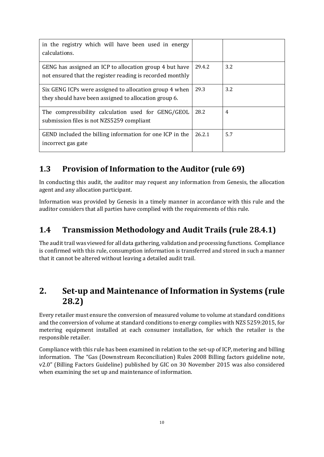| in the registry which will have been used in energy<br>calculations.                                                 |        |     |
|----------------------------------------------------------------------------------------------------------------------|--------|-----|
| GENG has assigned an ICP to allocation group 4 but have<br>not ensured that the register reading is recorded monthly | 29.4.2 | 3.2 |
| Six GENG ICPs were assigned to allocation group 4 when<br>they should have been assigned to allocation group 6.      | 29.3   | 3.2 |
| The compressibility calculation used for GENG/GEOL<br>submission files is not NZS5259 compliant                      | 28.2   | 4   |
| GEND included the billing information for one ICP in the<br>incorrect gas gate                                       | 26.2.1 | 5.7 |

## <span id="page-9-0"></span>**1.3 Provision of Information to the Auditor (rule 69)**

In conducting this audit, the auditor may request any information from Genesis, the allocation agent and any allocation participant.

Information was provided by Genesis in a timely manner in accordance with this rule and the auditor considers that all parties have complied with the requirements of this rule.

#### <span id="page-9-1"></span>**1.4 Transmission Methodology and Audit Trails (rule 28.4.1)**

The audit trail was viewed for all data gathering, validation and processing functions. Compliance is confirmed with this rule, consumption information is transferred and stored in such a manner that it cannot be altered without leaving a detailed audit trail.

## <span id="page-9-2"></span>**2. Set-up and Maintenance of Information in Systems (rule 28.2)**

Every retailer must ensure the conversion of measured volume to volume at standard conditions and the conversion of volume at standard conditions to energy complies with NZS 5259:2015, for metering equipment installed at each consumer installation, for which the retailer is the responsible retailer.

Compliance with this rule has been examined in relation to the set-up of ICP, metering and billing information. The "Gas (Downstream Reconciliation) Rules 2008 Billing factors guideline note, v2.0" (Billing Factors Guideline) published by GIC on 30 November 2015 was also considered when examining the set up and maintenance of information.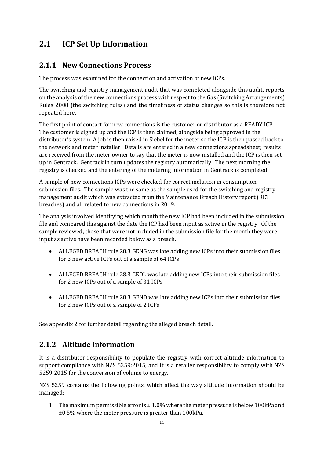## <span id="page-10-0"></span>**2.1 ICP Set Up Information**

#### <span id="page-10-1"></span>**2.1.1 New Connections Process**

The process was examined for the connection and activation of new ICPs.

The switching and registry management audit that was completed alongside this audit, reports on the analysis of the new connections process with respect to the Gas (Switching Arrangements) Rules 2008 (the switching rules) and the timeliness of status changes so this is therefore not repeated here.

The first point of contact for new connections is the customer or distributor as a READY ICP. The customer is signed up and the ICP is then claimed, alongside being approved in the distributor's system. A job is then raised in Siebel for the meter so the ICP is then passed back to the network and meter installer. Details are entered in a new connections spreadsheet; results are received from the meter owner to say that the meter is now installed and the ICP is then set up in Gentrack. Gentrack in turn updates the registry automatically. The next morning the registry is checked and the entering of the metering information in Gentrack is completed.

A sample of new connections ICPs were checked for correct inclusion in consumption submission files. The sample was the same as the sample used for the switching and registry management audit which was extracted from the Maintenance Breach History report (RET breaches) and all related to new connections in 2019.

The analysis involved identifying which month the new ICP had been included in the submission file and compared this against the date the ICP had been input as active in the registry. Of the sample reviewed, those that were not included in the submission file for the month they were input as active have been recorded below as a breach.

- ALLEGED BREACH rule 28.3 GENG was late adding new ICPs into their submission files for 3 new active ICPs out of a sample of 64 ICPs
- ALLEGED BREACH rule 28.3 GEOL was late adding new ICPs into their submission files for 2 new ICPs out of a sample of 31 ICPs
- ALLEGED BREACH rule 28.3 GEND was late adding new ICPs into their submission files for 2 new ICPs out of a sample of 2 ICPs

See appendix 2 for further detail regarding the alleged breach detail.

#### <span id="page-10-2"></span>**2.1.2 Altitude Information**

It is a distributor responsibility to populate the registry with correct altitude information to support compliance with NZS 5259:2015, and it is a retailer responsibility to comply with NZS 5259:2015 for the conversion of volume to energy.

NZS 5259 contains the following points, which affect the way altitude information should be managed:

1. The maximum permissible error is  $\pm$  1.0% where the meter pressure is below 100 kPa and ±0.5% where the meter pressure is greater than 100kPa.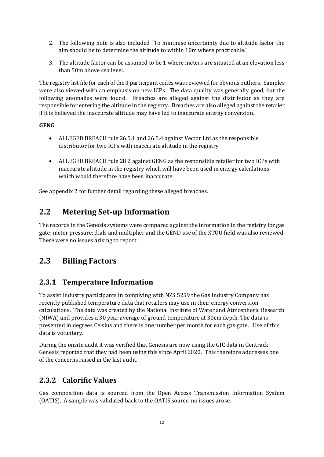- 2. The following note is also included "To minimise uncertainty due to altitude factor the aim should be to determine the altitude to within 10m where practicable."
- 3. The altitude factor can be assumed to be 1 where meters are situated at an elevation less than 50m above sea level.

The registry list file for each of the 3 participant codes was reviewed for obvious outliers. Samples were also viewed with an emphasis on new ICPs. The data quality was generally good, but the following anomalies were found. Breaches are alleged against the distributor as they are responsible for entering the altitude in the registry. Breaches are also alleged against the retailer if it is believed the inaccurate altitude may have led to inaccurate energy conversion.

#### **GENG**

- ALLEGED BREACH rule 26.5.1 and 26.5.4 against Vector Ltd as the responsible distributor for two ICPs with inaccurate altitude in the registry
- ALLEGED BREACH rule 28.2 against GENG as the responsible retailer for two ICPs with inaccurate altitude in the registry which will have been used in energy calculations which would therefore have been inaccurate.

See appendix 2 for further detail regarding these alleged breaches.

#### <span id="page-11-0"></span>**2.2 Metering Set-up Information**

The records in the Genesis systems were compared against the information in the registry for gas gate; meter pressure; dials and multiplier and the GEND use of the XTOU field was also reviewed. There were no issues arising to report.

#### <span id="page-11-1"></span>**2.3 Billing Factors**

#### <span id="page-11-2"></span>**2.3.1 Temperature Information**

To assist industry participants in complying with NZS 5259 the Gas Industry Company has recently published temperature data that retailers may use in their energy conversion calculations. The data was created by the National Institute of Water and Atmospheric Research (NIWA) and provides a 30 year average of ground temperature at 30cm depth. The data is presented in degrees Celsius and there is one number per month for each gas gate. Use of this data is voluntary.

During the onsite audit it was verified that Genesis are now using the GIC data in Gentrack. Genesis reported that they had been using this since April 2020. This therefore addresses one of the concerns raised in the last audit.

#### <span id="page-11-3"></span>**2.3.2 Calorific Values**

Gas composition data is sourced from the Open Access Transmission Information System (OATIS). A sample was validated back to the OATIS source, no issues arose.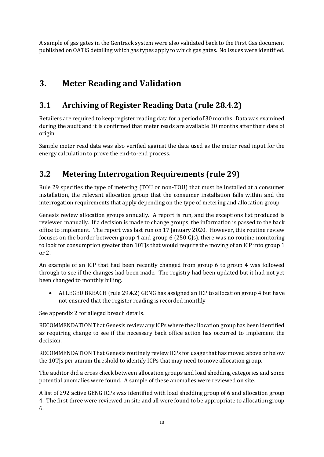A sample of gas gates in the Gentrack system were also validated back to the First Gas document published on OATIS detailing which gas types apply to which gas gates. No issues were identified.

## <span id="page-12-0"></span>**3. Meter Reading and Validation**

## <span id="page-12-1"></span>**3.1 Archiving of Register Reading Data (rule 28.4.2)**

Retailers are required to keep register reading data for a period of 30 months. Data was examined during the audit and it is confirmed that meter reads are available 30 months after their date of origin.

Sample meter read data was also verified against the data used as the meter read input for the energy calculation to prove the end-to-end process.

## <span id="page-12-2"></span>**3.2 Metering Interrogation Requirements (rule 29)**

Rule 29 specifies the type of metering (TOU or non-TOU) that must be installed at a consumer installation, the relevant allocation group that the consumer installation falls within and the interrogation requirements that apply depending on the type of metering and allocation group.

Genesis review allocation groups annually. A report is run, and the exceptions list produced is reviewed manually. If a decision is made to change groups, the information is passed to the back office to implement. The report was last run on 17 January 2020. However, this routine review focuses on the border between group 4 and group 6 (250 GJs), there was no routine monitoring to look for consumption greater than 10TJs that would require the moving of an ICP into group 1 or 2.

An example of an ICP that had been recently changed from group 6 to group 4 was followed through to see if the changes had been made. The registry had been updated but it had not yet been changed to monthly billing.

• ALLEGED BREACH (rule 29.4.2) GENG has assigned an ICP to allocation group 4 but have not ensured that the register reading is recorded monthly

See appendix 2 for alleged breach details.

RECOMMENDATION That Genesis review any ICPs where the allocation group has been identified as requiring change to see if the necessary back office action has occurred to implement the decision.

RECOMMENDATION That Genesis routinely review ICPs for usage that has moved above or below the 10TJs per annum threshold to identify ICPs that may need to move allocation group.

The auditor did a cross check between allocation groups and load shedding categories and some potential anomalies were found. A sample of these anomalies were reviewed on site.

A list of 292 active GENG ICPs was identified with load shedding group of 6 and allocation group 4. The first three were reviewed on site and all were found to be appropriate to allocation group 6.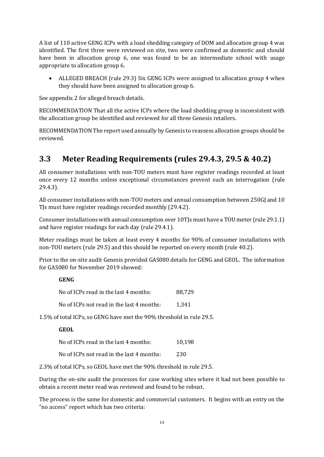A list of 110 active GENG ICPs with a load shedding category of DOM and allocation group 4 was identified. The first three were reviewed on site, two were confirmed as domestic and should have been in allocation group 6, one was found to be an intermediate school with usage appropriate to allocation group 6.

• ALLEGED BREACH (rule 29.3) Six GENG ICPs were assigned to allocation group 4 when they should have been assigned to allocation group 6.

See appendix 2 for alleged breach details.

RECOMMENDATION That all the active ICPs where the load shedding group is inconsistent with the allocation group be identified and reviewed for all three Genesis retailers.

RECOMMENDATION The report used annually by Genesis to reassess allocation groups should be reviewed.

#### <span id="page-13-0"></span>**3.3 Meter Reading Requirements (rules 29.4.3, 29.5 & 40.2)**

All consumer installations with non-TOU meters must have register readings recorded at least once every 12 months unless exceptional circumstances prevent such an interrogation (rule 29.4.3).

All consumer installations with non-TOU meters and annual consumption between 250GJ and 10 TJs must have register readings recorded monthly (29.4.2).

Consumer installations with annual consumption over 10TJs must have a TOU meter (rule 29.1.1) and have register readings for each day (rule 29.4.1).

Meter readings must be taken at least every 4 months for 90% of consumer installations with non-TOU meters (rule 29.5) and this should be reported on every month (rule 40.2).

Prior to the on-site audit Genesis provided GAS080 details for GENG and GEOL. The information for GAS080 for November 2019 showed:

#### **GENG**

| No of ICPs read in the last 4 months:     | 88,729 |
|-------------------------------------------|--------|
| No of ICPs not read in the last 4 months: | 1,341  |

1.5% of total ICPs, so GENG have met the 90% threshold in rule 29.5.

#### **GEOL**

| No of ICPs read in the last 4 months:     | 10,198 |
|-------------------------------------------|--------|
| No of ICPs not read in the last 4 months: | 230    |

2.3% of total ICPs, so GEOL have met the 90% threshold in rule 29.5.

During the on-site audit the processes for case working sites where it had not been possible to obtain a recent meter read was reviewed and found to be robust.

The process is the same for domestic and commercial customers. It begins with an entry on the "no access" report which has two criteria: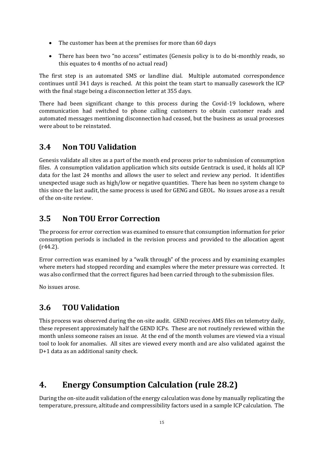- The customer has been at the premises for more than 60 days
- There has been two "no access" estimates (Genesis policy is to do bi-monthly reads, so this equates to 4 months of no actual read)

The first step is an automated SMS or landline dial. Multiple automated correspondence continues until 341 days is reached. At this point the team start to manually casework the ICP with the final stage being a disconnection letter at 355 days.

There had been significant change to this process during the Covid-19 lockdown, where communication had switched to phone calling customers to obtain customer reads and automated messages mentioning disconnection had ceased, but the business as usual processes were about to be reinstated.

#### <span id="page-14-0"></span>**3.4 Non TOU Validation**

Genesis validate all sites as a part of the month end process prior to submission of consumption files. A consumption validation application which sits outside Gentrack is used, it holds all ICP data for the last 24 months and allows the user to select and review any period. It identifies unexpected usage such as high/low or negative quantities. There has been no system change to this since the last audit, the same process is used for GENG and GEOL. No issues arose as a result of the on-site review.

#### <span id="page-14-1"></span>**3.5 Non TOU Error Correction**

The process for error correction was examined to ensure that consumption information for prior consumption periods is included in the revision process and provided to the allocation agent (r44.2).

Error correction was examined by a "walk through" of the process and by examining examples where meters had stopped recording and examples where the meter pressure was corrected. It was also confirmed that the correct figures had been carried through to the submission files.

No issues arose.

#### <span id="page-14-2"></span>**3.6 TOU Validation**

This process was observed during the on-site audit. GEND receives AMS files on telemetry daily, these represent approximately half the GEND ICPs. These are not routinely reviewed within the month unless someone raises an issue. At the end of the month volumes are viewed via a visual tool to look for anomalies. All sites are viewed every month and are also validated against the D+1 data as an additional sanity check.

## <span id="page-14-3"></span>**4. Energy Consumption Calculation (rule 28.2)**

During the on-site audit validation of the energy calculation was done by manually replicating the temperature, pressure, altitude and compressibility factors used in a sample ICP calculation. The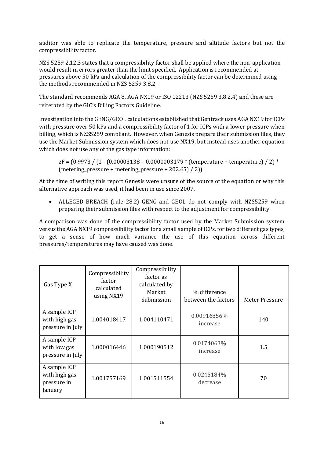auditor was able to replicate the temperature, pressure and altitude factors but not the compressibility factor.

NZS 5259 2.12.3 states that a compressibility factor shall be applied where the non-application would result in errors greater than the limit specified. Application is recommended at pressures above 50 kPa and calculation of the compressibility factor can be determined using the methods recommended in NZS 5259 3.8.2.

The standard recommends AGA 8, AGA NX19 or ISO 12213 (NZS 5259 3.8.2.4) and these are reiterated by the GIC's Billing Factors Guideline.

Investigation into the GENG/GEOL calculations established that Gentrack uses AGA NX19 for ICPs with pressure over 50 kPa and a compressibility factor of 1 for ICPs with a lower pressure when billing, which is NZS5259 compliant. However, when Genesis prepare their submission files, they use the Market Submission system which does not use NX19, but instead uses another equation which does not use any of the gas type information:

zF = (0.9973 / (1 - (0.00003138 - 0.0000003179 \* (temperature + temperature) / 2) \* (metering pressure + metering pressure +  $202.65$ ) / 2))

At the time of writing this report Genesis were unsure of the source of the equation or why this alternative approach was used, it had been in use since 2007.

• ALLEGED BREACH (rule 28.2) GENG and GEOL do not comply with NZS5259 when preparing their submission files with respect to the adjustment for compressibility

A comparison was done of the compressibility factor used by the Market Submission system versus the AGA NX19 compressibility factor for a small sample of ICPs, for two different gas types, to get a sense of how much variance the use of this equation across different pressures/temperatures may have caused was done.

| Gas Type X                                              | Compressibility<br>factor<br>calculated<br>using NX19 | Compressibility<br>factor as<br>calculated by<br>Market<br>Submission | % difference<br>between the factors | Meter Pressure |
|---------------------------------------------------------|-------------------------------------------------------|-----------------------------------------------------------------------|-------------------------------------|----------------|
| A sample ICP<br>with high gas<br>pressure in July       | 1.004018417                                           | 1.004110471                                                           | 0.00916856%<br>increase             | 140            |
| A sample ICP<br>with low gas<br>pressure in July        | 1.000016446                                           | 1.000190512                                                           | 0.0174063%<br>increase              | 1.5            |
| A sample ICP<br>with high gas<br>pressure in<br>January | 1.001757169                                           | 1.001511554                                                           | 0.0245184%<br>decrease              | 70             |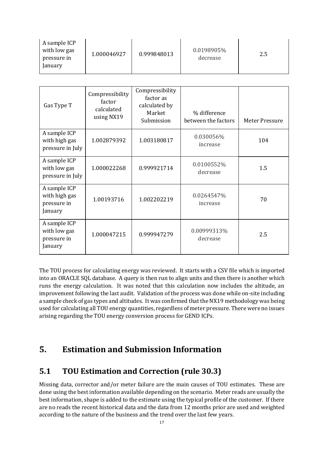| A sample ICP<br>with low gas<br>pressure in<br><b>January</b> | 1.000046927 | 0.999848013 | 0.0198905%<br>decrease | 2.5 |
|---------------------------------------------------------------|-------------|-------------|------------------------|-----|
|---------------------------------------------------------------|-------------|-------------|------------------------|-----|

| Gas Type T                                              | Compressibility<br>factor<br>calculated<br>using NX19 | Compressibility<br>factor as<br>calculated by<br>Market<br>Submission | % difference<br>between the factors | Meter Pressure |
|---------------------------------------------------------|-------------------------------------------------------|-----------------------------------------------------------------------|-------------------------------------|----------------|
| A sample ICP<br>with high gas<br>pressure in July       | 1.002879392                                           | 1.003180817                                                           | 0.030056%<br>increase               | 104            |
| A sample ICP<br>with low gas<br>pressure in July        | 1.000022268                                           | 0.999921714                                                           | 0.0100552%<br>decrease              | 1.5            |
| A sample ICP<br>with high gas<br>pressure in<br>January | 1.00193716                                            | 1.002202219                                                           | 0.0264547%<br>increase              | 70             |
| A sample ICP<br>with low gas<br>pressure in<br>January  | 1.000047215                                           | 0.999947279                                                           | 0.00999313%<br>decrease             | 2.5            |

The TOU process for calculating energy was reviewed. It starts with a CSV file which is imported into an ORACLE SQL database. A query is then run to align units and then there is another which runs the energy calculation. It was noted that this calculation now includes the altitude, an improvement following the last audit. Validation of the process was done while on-site including a sample check of gas types and altitudes. It was confirmed that the NX19 methodology was being used for calculating all TOU energy quantities, regardless of meter pressure. There were no issues arising regarding the TOU energy conversion process for GEND ICPs.

#### <span id="page-16-0"></span>**5. Estimation and Submission Information**

#### <span id="page-16-1"></span>**5.1 TOU Estimation and Correction (rule 30.3)**

Missing data, corrector and/or meter failure are the main causes of TOU estimates. These are done using the best information available depending on the scenario. Meter reads are usually the best information, shape is added to the estimate using the typical profile of the customer. If there are no reads the recent historical data and the data from 12 months prior are used and weighted according to the nature of the business and the trend over the last few years.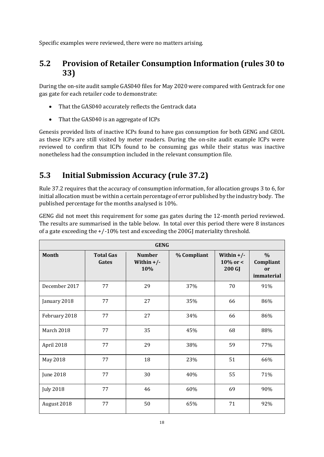Specific examples were reviewed, there were no matters arising.

#### <span id="page-17-0"></span>**5.2 Provision of Retailer Consumption Information (rules 30 to 33)**

During the on-site audit sample GAS040 files for May 2020 were compared with Gentrack for one gas gate for each retailer code to demonstrate:

- That the GAS040 accurately reflects the Gentrack data
- That the GAS040 is an aggregate of ICPs

Genesis provided lists of inactive ICPs found to have gas consumption for both GENG and GEOL as these ICPs are still visited by meter readers. During the on-site audit example ICPs were reviewed to confirm that ICPs found to be consuming gas while their status was inactive nonetheless had the consumption included in the relevant consumption file.

## <span id="page-17-1"></span>**5.3 Initial Submission Accuracy (rule 37.2)**

Rule 37.2 requires that the accuracy of consumption information, for allocation groups 3 to 6, for initial allocation must be within a certain percentage of error published by the industry body. The published percentage for the months analysed is 10%.

GENG did not meet this requirement for some gas gates during the 12-month period reviewed. The results are summarised in the table below. In total over this period there were 8 instances of a gate exceeding the +/-10% test and exceeding the 200GJ materiality threshold.

|                  | <b>GENG</b>               |                                      |             |                                       |                                                       |  |
|------------------|---------------------------|--------------------------------------|-------------|---------------------------------------|-------------------------------------------------------|--|
| Month            | <b>Total Gas</b><br>Gates | <b>Number</b><br>Within $+/-$<br>10% | % Compliant | Within $+/-$<br>$10\%$ or <<br>200 GJ | $\frac{0}{0}$<br>Compliant<br><b>or</b><br>immaterial |  |
| December 2017    | 77                        | 29                                   | 37%         | 70                                    | 91%                                                   |  |
| January 2018     | 77                        | 27                                   | 35%         | 66                                    | 86%                                                   |  |
| February 2018    | 77                        | 27                                   | 34%         | 66                                    | 86%                                                   |  |
| March 2018       | 77                        | 35                                   | 45%         | 68                                    | 88%                                                   |  |
| April 2018       | 77                        | 29                                   | 38%         | 59                                    | 77%                                                   |  |
| May 2018         | 77                        | 18                                   | 23%         | 51                                    | 66%                                                   |  |
| <b>June 2018</b> | 77                        | 30                                   | 40%         | 55                                    | 71%                                                   |  |
| <b>July 2018</b> | 77                        | 46                                   | 60%         | 69                                    | 90%                                                   |  |
| August 2018      | 77                        | 50                                   | 65%         | 71                                    | 92%                                                   |  |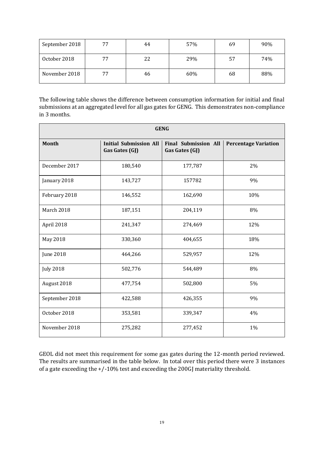| September 2018 | 77 | 44 | 57% | 69 | 90% |
|----------------|----|----|-----|----|-----|
| October 2018   | 77 | 22 | 29% | 57 | 74% |
| November 2018  | 77 | 46 | 60% | 68 | 88% |

The following table shows the difference between consumption information for initial and final submissions at an aggregated level for all gas gates for GENG. This demonstrates non-compliance in 3 months.

| <b>GENG</b>      |                                                                                                  |         |                             |  |  |
|------------------|--------------------------------------------------------------------------------------------------|---------|-----------------------------|--|--|
| <b>Month</b>     | <b>Initial Submission All</b><br><b>Final Submission All</b><br>Gas Gates (GJ)<br>Gas Gates (GJ) |         | <b>Percentage Variation</b> |  |  |
| December 2017    | 180,540                                                                                          | 177,787 | 2%                          |  |  |
| January 2018     | 143,727                                                                                          | 157782  | 9%                          |  |  |
| February 2018    | 146,552                                                                                          | 162,690 | 10%                         |  |  |
| March 2018       | 187,151                                                                                          | 204,119 | 8%                          |  |  |
| April 2018       | 241,347                                                                                          | 274,469 | 12%                         |  |  |
| May 2018         | 330,360                                                                                          | 404,655 | 18%                         |  |  |
| <b>June 2018</b> | 464,266                                                                                          | 529,957 | 12%                         |  |  |
| <b>July 2018</b> | 502,776                                                                                          | 544,489 | 8%                          |  |  |
| August 2018      | 477,754                                                                                          | 502,800 | 5%                          |  |  |
| September 2018   | 422,588                                                                                          | 426,355 | 9%                          |  |  |
| October 2018     | 353,581                                                                                          | 339,347 | 4%                          |  |  |
| November 2018    | 275,282                                                                                          | 277,452 | 1%                          |  |  |

GEOL did not meet this requirement for some gas gates during the 12-month period reviewed. The results are summarised in the table below. In total over this period there were 3 instances of a gate exceeding the +/-10% test and exceeding the 200GJ materiality threshold.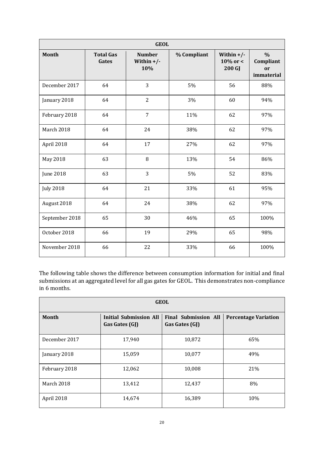|                  | <b>GEOL</b>               |                                      |             |                                      |                                                       |  |
|------------------|---------------------------|--------------------------------------|-------------|--------------------------------------|-------------------------------------------------------|--|
| <b>Month</b>     | <b>Total Gas</b><br>Gates | <b>Number</b><br>Within $+/-$<br>10% | % Compliant | Within $+/-$<br>10% or $<$<br>200 GJ | $\frac{0}{0}$<br>Compliant<br><b>or</b><br>immaterial |  |
| December 2017    | 64                        | 3                                    | 5%          | 56                                   | 88%                                                   |  |
| January 2018     | 64                        | $\overline{2}$                       | 3%          | 60                                   | 94%                                                   |  |
| February 2018    | 64                        | $\overline{7}$                       | 11%         | 62                                   | 97%                                                   |  |
| March 2018       | 64                        | 24                                   | 38%         | 62                                   | 97%                                                   |  |
| April 2018       | 64                        | 17                                   | 27%         | 62                                   | 97%                                                   |  |
| May 2018         | 63                        | 8                                    | 13%         | 54                                   | 86%                                                   |  |
| <b>June 2018</b> | 63                        | 3                                    | 5%          | 52                                   | 83%                                                   |  |
| <b>July 2018</b> | 64                        | 21                                   | 33%         | 61                                   | 95%                                                   |  |
| August 2018      | 64                        | 24                                   | 38%         | 62                                   | 97%                                                   |  |
| September 2018   | 65                        | 30                                   | 46%         | 65                                   | 100%                                                  |  |
| October 2018     | 66                        | 19                                   | 29%         | 65                                   | 98%                                                   |  |
| November 2018    | 66                        | 22                                   | 33%         | 66                                   | 100%                                                  |  |

The following table shows the difference between consumption information for initial and final submissions at an aggregated level for all gas gates for GEOL. This demonstrates non-compliance in 6 months.

| <b>GEOL</b>   |                                                 |                                               |                             |  |  |
|---------------|-------------------------------------------------|-----------------------------------------------|-----------------------------|--|--|
| Month         | <b>Initial Submission All</b><br>Gas Gates (GJ) | <b>Final Submission All</b><br>Gas Gates (GJ) | <b>Percentage Variation</b> |  |  |
| December 2017 | 17,940                                          | 10,872                                        | 65%                         |  |  |
| January 2018  | 15,059                                          | 10,077                                        | 49%                         |  |  |
| February 2018 | 12,062                                          | 10,008                                        | 21%                         |  |  |
| March 2018    | 13,412                                          | 12,437                                        | 8%                          |  |  |
| April 2018    | 14,674                                          | 16,389                                        | 10%                         |  |  |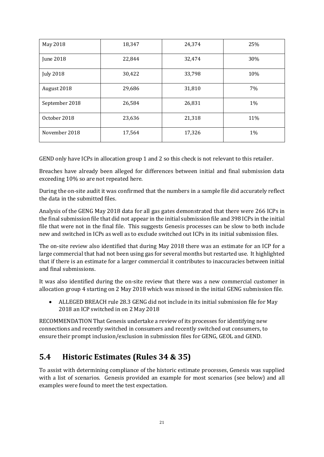| May 2018         | 18,347 | 24,374 | 25% |
|------------------|--------|--------|-----|
| June 2018        | 22,844 | 32,474 | 30% |
| <b>July 2018</b> | 30,422 | 33,798 | 10% |
| August 2018      | 29,686 | 31,810 | 7%  |
| September 2018   | 26,584 | 26,831 | 1%  |
| October 2018     | 23,636 | 21,318 | 11% |
| November 2018    | 17,564 | 17,326 | 1%  |

GEND only have ICPs in allocation group 1 and 2 so this check is not relevant to this retailer.

Breaches have already been alleged for differences between initial and final submission data exceeding 10% so are not repeated here.

During the on-site audit it was confirmed that the numbers in a sample file did accurately reflect the data in the submitted files.

Analysis of the GENG May 2018 data for all gas gates demonstrated that there were 266 ICPs in the final submission file that did not appear in the initial submission file and 398 ICPs in the initial file that were not in the final file. This suggests Genesis processes can be slow to both include new and switched in ICPs as well as to exclude switched out ICPs in its initial submission files.

The on-site review also identified that during May 2018 there was an estimate for an ICP for a large commercial that had not been using gas for several months but restarted use. It highlighted that if there is an estimate for a larger commercial it contributes to inaccuracies between initial and final submissions.

It was also identified during the on-site review that there was a new commercial customer in allocation group 4 starting on 2 May 2018 which was missed in the initial GENG submission file.

• ALLEGED BREACH rule 28.3 GENG did not include in its initial submission file for May 2018 an ICP switched in on 2 May 2018

RECOMMENDATION That Genesis undertake a review of its processes for identifying new connections and recently switched in consumers and recently switched out consumers, to ensure their prompt inclusion/exclusion in submission files for GENG, GEOL and GEND.

#### <span id="page-20-0"></span>**5.4 Historic Estimates (Rules 34 & 35)**

To assist with determining compliance of the historic estimate processes, Genesis was supplied with a list of scenarios. Genesis provided an example for most scenarios (see below) and all examples were found to meet the test expectation.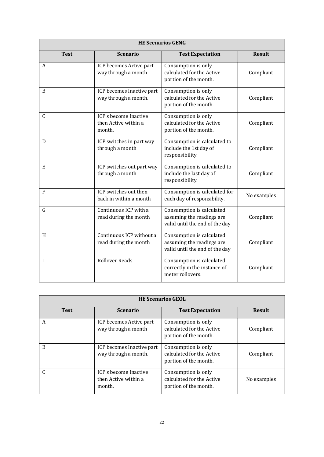|              | <b>HE Scenarios GENG</b>                                |                                                                                          |               |  |  |  |
|--------------|---------------------------------------------------------|------------------------------------------------------------------------------------------|---------------|--|--|--|
| <b>Test</b>  | <b>Scenario</b>                                         | <b>Test Expectation</b>                                                                  | <b>Result</b> |  |  |  |
| A            | ICP becomes Active part<br>way through a month          | Consumption is only<br>calculated for the Active<br>portion of the month.                | Compliant     |  |  |  |
| B            | ICP becomes Inactive part<br>way through a month.       | Consumption is only<br>calculated for the Active<br>portion of the month.                | Compliant     |  |  |  |
| $\mathsf{C}$ | ICP's become Inactive<br>then Active within a<br>month. | Consumption is only<br>calculated for the Active<br>portion of the month.                | Compliant     |  |  |  |
| D            | ICP switches in part way<br>through a month             | Consumption is calculated to<br>include the 1st day of<br>responsibility.                | Compliant     |  |  |  |
| ${\bf E}$    | ICP switches out part way<br>through a month            | Consumption is calculated to<br>include the last day of<br>responsibility.               | Compliant     |  |  |  |
| $\mathbf{F}$ | ICP switches out then<br>back in within a month         | Consumption is calculated for<br>each day of responsibility.                             | No examples   |  |  |  |
| G            | Continuous ICP with a<br>read during the month          | Consumption is calculated<br>assuming the readings are<br>valid until the end of the day | Compliant     |  |  |  |
| H            | Continuous ICP without a<br>read during the month       | Consumption is calculated<br>assuming the readings are<br>valid until the end of the day | Compliant     |  |  |  |
| I            | Rollover Reads                                          | Consumption is calculated<br>correctly in the instance of<br>meter rollovers.            | Compliant     |  |  |  |

|             | <b>HE Scenarios GEOL</b>                                |                                                                           |               |  |  |  |
|-------------|---------------------------------------------------------|---------------------------------------------------------------------------|---------------|--|--|--|
| <b>Test</b> | <b>Scenario</b>                                         | <b>Test Expectation</b>                                                   | <b>Result</b> |  |  |  |
| A           | ICP becomes Active part<br>way through a month          | Consumption is only<br>calculated for the Active<br>portion of the month. | Compliant     |  |  |  |
| B           | ICP becomes Inactive part<br>way through a month.       | Consumption is only<br>calculated for the Active<br>portion of the month. | Compliant     |  |  |  |
|             | ICP's become Inactive<br>then Active within a<br>month. | Consumption is only<br>calculated for the Active<br>portion of the month. | No examples   |  |  |  |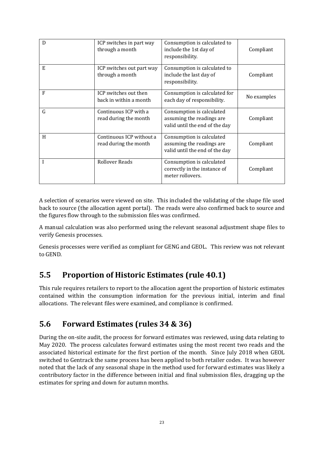| D            | ICP switches in part way<br>through a month       | Consumption is calculated to<br>include the 1st day of<br>responsibility.                | Compliant   |
|--------------|---------------------------------------------------|------------------------------------------------------------------------------------------|-------------|
| E            | ICP switches out part way<br>through a month      | Consumption is calculated to<br>include the last day of<br>responsibility.               | Compliant   |
| $\mathbf{F}$ | ICP switches out then<br>back in within a month   | Consumption is calculated for<br>each day of responsibility.                             | No examples |
| G            | Continuous ICP with a<br>read during the month    | Consumption is calculated<br>assuming the readings are<br>valid until the end of the day | Compliant   |
| H            | Continuous ICP without a<br>read during the month | Consumption is calculated<br>assuming the readings are<br>valid until the end of the day | Compliant   |
| I            | <b>Rollover Reads</b>                             | Consumption is calculated<br>correctly in the instance of<br>meter rollovers.            | Compliant   |

A selection of scenarios were viewed on site. This included the validating of the shape file used back to source (the allocation agent portal). The reads were also confirmed back to source and the figures flow through to the submission files was confirmed.

A manual calculation was also performed using the relevant seasonal adjustment shape files to verify Genesis processes.

Genesis processes were verified as compliant for GENG and GEOL. This review was not relevant to GEND.

#### <span id="page-22-0"></span>**5.5 Proportion of Historic Estimates (rule 40.1)**

This rule requires retailers to report to the allocation agent the proportion of historic estimates contained within the consumption information for the previous initial, interim and final allocations. The relevant files were examined, and compliance is confirmed.

#### <span id="page-22-1"></span>**5.6 Forward Estimates (rules 34 & 36)**

During the on-site audit, the process for forward estimates was reviewed, using data relating to May 2020. The process calculates forward estimates using the most recent two reads and the associated historical estimate for the first portion of the month. Since July 2018 when GEOL switched to Gentrack the same process has been applied to both retailer codes. It was however noted that the lack of any seasonal shape in the method used for forward estimates was likely a contributory factor in the difference between initial and final submission files, dragging up the estimates for spring and down for autumn months.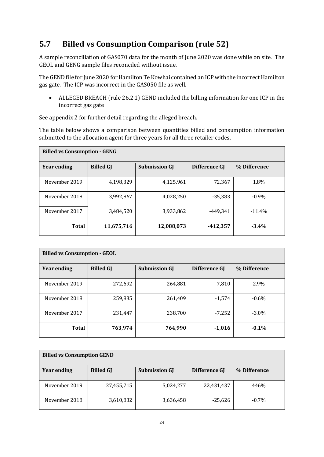## <span id="page-23-0"></span>**5.7 Billed vs Consumption Comparison (rule 52)**

A sample reconciliation of GAS070 data for the month of June 2020 was done while on site. The GEOL and GENG sample files reconciled without issue.

The GEND file for June 2020 for Hamilton Te Kowhai contained an ICP with the incorrect Hamilton gas gate. The ICP was incorrect in the GAS050 file as well.

• ALLEGED BREACH (rule 26.2.1) GEND included the billing information for one ICP in the incorrect gas gate

See appendix 2 for further detail regarding the alleged breach.

The table below shows a comparison between quantities billed and consumption information submitted to the allocation agent for three years for all three retailer codes.

| <b>Billed vs Consumption - GENG</b> |                  |                      |               |              |
|-------------------------------------|------------------|----------------------|---------------|--------------|
| Year ending                         | <b>Billed GJ</b> | <b>Submission GJ</b> | Difference GI | % Difference |
| November 2019                       | 4,198,329        | 4,125,961            | 72,367        | 1.8%         |
| November 2018                       | 3,992,867        | 4,028,250            | $-35,383$     | $-0.9\%$     |
| November 2017                       | 3,484,520        | 3,933,862            | $-449,341$    | $-11.4%$     |
| <b>Total</b>                        | 11,675,716       | 12,088,073           | $-412,357$    | $-3.4\%$     |

| <b>Billed vs Consumption - GEOL</b> |                  |                      |               |              |  |
|-------------------------------------|------------------|----------------------|---------------|--------------|--|
| <b>Year ending</b>                  | <b>Billed GJ</b> | <b>Submission GJ</b> | Difference GJ | % Difference |  |
| November 2019                       | 272,692          | 264,881              | 7,810         | 2.9%         |  |
| November 2018                       | 259,835          | 261,409              | $-1,574$      | $-0.6%$      |  |
| November 2017                       | 231,447          | 238,700              | $-7,252$      | $-3.0\%$     |  |
| <b>Total</b>                        | 763,974          | 764,990              | $-1,016$      | $-0.1\%$     |  |

| <b>Billed vs Consumption GEND</b> |                  |                      |               |              |
|-----------------------------------|------------------|----------------------|---------------|--------------|
| <b>Year ending</b>                | <b>Billed GJ</b> | <b>Submission GJ</b> | Difference GJ | % Difference |
| November 2019                     | 27,455,715       | 5,024,277            | 22,431,437    | 446%         |
| November 2018                     | 3,610,832        | 3,636,458            | $-25,626$     | $-0.7\%$     |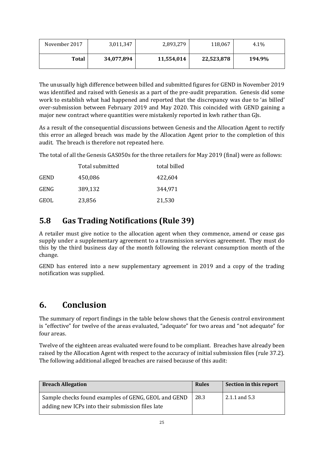| November 2017 | 3,011,347  | 2,893,279  | 118,067    | 4.1%   |
|---------------|------------|------------|------------|--------|
| Total         | 34,077,894 | 11,554,014 | 22,523,878 | 194.9% |

The unusually high difference between billed and submitted figures for GEND in November 2019 was identified and raised with Genesis as a part of the pre-audit preparation. Genesis did some work to establish what had happened and reported that the discrepancy was due to 'as billed' over-submission between February 2019 and May 2020. This coincided with GEND gaining a major new contract where quantities were mistakenly reported in kwh rather than GJs.

As a result of the consequential discussions between Genesis and the Allocation Agent to rectify this error an alleged breach was made by the Allocation Agent prior to the completion of this audit. The breach is therefore not repeated here.

The total of all the Genesis GAS050s for the three retailers for May 2019 (final) were as follows:

|             | Total submitted | total billed |  |
|-------------|-----------------|--------------|--|
| <b>GEND</b> | 450,086         | 422,604      |  |
| <b>GENG</b> | 389,132         | 344,971      |  |
| <b>GEOL</b> | 23,856          | 21,530       |  |

#### <span id="page-24-0"></span>**5.8 Gas Trading Notifications (Rule 39)**

A retailer must give notice to the allocation agent when they commence, amend or cease gas supply under a supplementary agreement to a transmission services agreement. They must do this by the third business day of the month following the relevant consumption month of the change.

GEND has entered into a new supplementary agreement in 2019 and a copy of the trading notification was supplied.

## <span id="page-24-1"></span>**6. Conclusion**

The summary of report findings in the table below shows that the Genesis control environment is "effective" for twelve of the areas evaluated, "adequate" for two areas and "not adequate" for four areas.

Twelve of the eighteen areas evaluated were found to be compliant. Breaches have already been raised by the Allocation Agent with respect to the accuracy of initial submission files (rule 37.2). The following additional alleged breaches are raised because of this audit:

| <b>Breach Allegation</b>                                                                                | <b>Rules</b> | Section in this report |
|---------------------------------------------------------------------------------------------------------|--------------|------------------------|
| Sample checks found examples of GENG, GEOL and GEND<br>adding new ICPs into their submission files late | 28.3         | 2.1.1 and $5.3$        |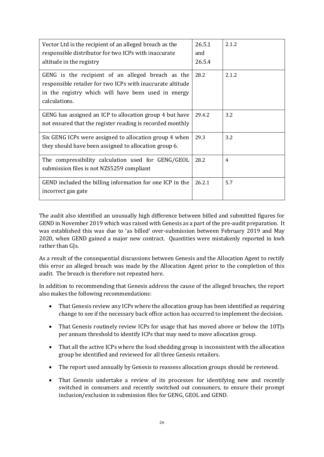| Vector Ltd is the recipient of an alleged breach as the<br>responsible distributor for two ICPs with inaccurate<br>altitude in the registry                                             | 26.5.1<br>and<br>26.5.4 | 2.1.2          |
|-----------------------------------------------------------------------------------------------------------------------------------------------------------------------------------------|-------------------------|----------------|
| GENG is the recipient of an alleged breach as the<br>responsible retailer for two ICPs with inaccurate altitude<br>in the registry which will have been used in energy<br>calculations. | 28.2                    | 2.1.2          |
| GENG has assigned an ICP to allocation group 4 but have<br>not ensured that the register reading is recorded monthly                                                                    | 29.4.2                  | 3.2            |
| Six GENG ICPs were assigned to allocation group 4 when<br>they should have been assigned to allocation group 6.                                                                         | 29.3                    | 3.2            |
| The compressibility calculation used for GENG/GEOL<br>submission files is not NZS5259 compliant                                                                                         | 28.2                    | $\overline{4}$ |
| GEND included the billing information for one ICP in the<br>incorrect gas gate                                                                                                          | 26.2.1                  | 5.7            |

The audit also identified an unusually high difference between billed and submitted figures for GEND in November 2019 which was raised with Genesis as a part of the pre-audit preparation. It was established this was due to 'as billed' over-submission between February 2019 and May 2020, when GEND gained a major new contract. Quantities were mistakenly reported in kwh rather than GJs.

As a result of the consequential discussions between Genesis and the Allocation Agent to rectify this error an alleged breach was made by the Allocation Agent prior to the completion of this audit. The breach is therefore not repeated here.

In addition to recommending that Genesis address the cause of the alleged breaches, the report also makes the following recommendations:

- That Genesis review any ICPs where the allocation group has been identified as requiring change to see if the necessary back office action has occurred to implement the decision.
- That Genesis routinely review ICPs for usage that has moved above or below the 10TJs per annum threshold to identify ICPs that may need to move allocation group.
- That all the active ICPs where the load shedding group is inconsistent with the allocation group be identified and reviewed for all three Genesis retailers.
- The report used annually by Genesis to reassess allocation groups should be reviewed.
- That Genesis undertake a review of its processes for identifying new and recently switched in consumers and recently switched out consumers, to ensure their prompt inclusion/exclusion in submission files for GENG, GEOL and GEND.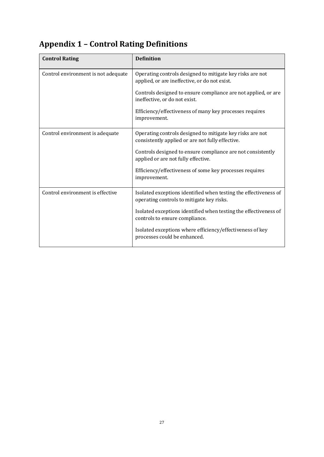# <span id="page-26-0"></span>**Appendix 1 – Control Rating Definitions**

| <b>Control Rating</b>               | <b>Definition</b>                                                                                             |
|-------------------------------------|---------------------------------------------------------------------------------------------------------------|
| Control environment is not adequate | Operating controls designed to mitigate key risks are not<br>applied, or are ineffective, or do not exist.    |
|                                     | Controls designed to ensure compliance are not applied, or are<br>ineffective, or do not exist.               |
|                                     | Efficiency/effectiveness of many key processes requires<br>improvement.                                       |
| Control environment is adequate     | Operating controls designed to mitigate key risks are not<br>consistently applied or are not fully effective. |
|                                     | Controls designed to ensure compliance are not consistently<br>applied or are not fully effective.            |
|                                     | Efficiency/effectiveness of some key processes requires<br>improvement.                                       |
| Control environment is effective    | Isolated exceptions identified when testing the effectiveness of<br>operating controls to mitigate key risks. |
|                                     | Isolated exceptions identified when testing the effectiveness of<br>controls to ensure compliance.            |
|                                     | Isolated exceptions where efficiency/effectiveness of key<br>processes could be enhanced.                     |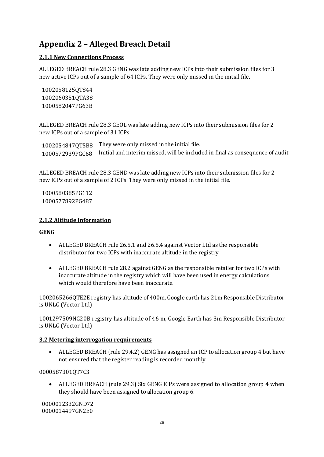#### <span id="page-27-0"></span>**Appendix 2 – Alleged Breach Detail**

#### **2.1.1 New Connections Process**

ALLEGED BREACH rule 28.3 GENG was late adding new ICPs into their submission files for 3 new active ICPs out of a sample of 64 ICPs. They were only missed in the initial file.

1002058125QT844 1002060351QTA38 1000582047PG63B

ALLEGED BREACH rule 28.3 GEOL was late adding new ICPs into their submission files for 2 new ICPs out of a sample of 31 ICPs

1002054847QT5B8 They were only missed in the initial file. 1000572939PGC68 Initial and interim missed, will be included in final as consequence of audit

ALLEGED BREACH rule 28.3 GEND was late adding new ICPs into their submission files for 2 new ICPs out of a sample of 2 ICPs. They were only missed in the initial file.

1000580385PG112 1000577892PG487

#### **2.1.2 Altitude Information**

#### **GENG**

- ALLEGED BREACH rule 26.5.1 and 26.5.4 against Vector Ltd as the responsible distributor for two ICPs with inaccurate altitude in the registry
- ALLEGED BREACH rule 28.2 against GENG as the responsible retailer for two ICPs with inaccurate altitude in the registry which will have been used in energy calculations which would therefore have been inaccurate.

1002065266QTE2E registry has altitude of 400m, Google earth has 21m Responsible Distributor is UNLG (Vector Ltd)

1001297509NG20B registry has altitude of 46 m, Google Earth has 3m Responsible Distributor is UNLG (Vector Ltd)

#### **3.2 Metering interrogation requirements**

• ALLEGED BREACH (rule 29.4.2) GENG has assigned an ICP to allocation group 4 but have not ensured that the register reading is recorded monthly

#### 0000587301QT7C3

• ALLEGED BREACH (rule 29.3) Six GENG ICPs were assigned to allocation group 4 when they should have been assigned to allocation group 6.

0000012332GND72 0000014497GN2E0